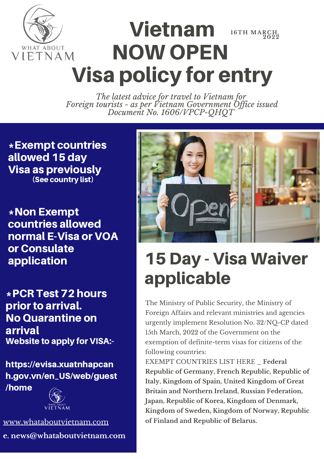

#### Vietnam NOW OPEN Visa policy for entry **16 TH MA R CH, 2022**

*The latest advice for travel to Vietnam for Foreign tourists - as per Vietnam Government Of ice issued Document No. 1606/VPCP-QHQT*

\*Exempt countries allowed 15 day Visa as previously (See country list)

\*Non Exempt countries allowed normal E-Visa or VOA or Consulate application

\*PCR Test 72 hours prior to arrival. No Quarantine on arrival Website to apply for VISA:-

https://evisa.xuatnhapcan h.gov.vn/en\_US/web/guest /home



[www.whataboutvietnam.com](https://www.whataboutvietnam.com/) **e. news@whataboutvietnam.com**



# 15 Day - Visa Waiver applicable

The Ministry of Public Security, the Ministry of Foreign Affairs and relevant ministries and agencies urgently implement Resolution No. 32/NQ-CP dated 15th March, 2022 of the Government on the exemption of definite-term visas for citizens of the following countries:

EXEMPT COUNTRIES LIST HERE \_ **Federal Republic of Germany, French Republic, Republic of Italy, Kingdom of Spain, United Kingdom of Great Britain and Northern Ireland, Russian Federation, Japan, Republic of Korea, Kingdom of Denmark, Kingdom of Sweden, Kingdom of Norway, Republic of Finland and Republic of Belarus.**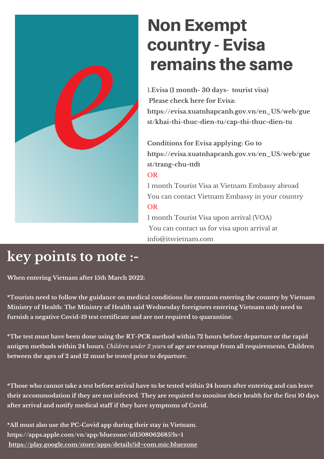

## Non Exempt country - Evisa remains the same

1**.Evisa (1 month- 30 days- tourist visa) Please check here for Evisa: [https://evisa.xuatnhapcanh.gov.vn/en\\_US/web/gue](https://evisa.xuatnhapcanh.gov.vn/en_US/web/guest/khai-thi-thuc-dien-tu/cap-thi-thuc-dien-tu) st/khai-thi-thuc-dien-tu/cap-thi-thuc-dien-tu**

**Conditions for Evisa applying: Go to [https://evisa.xuatnhapcanh.gov.vn/en\\_US/web/gue](https://evisa.xuatnhapcanh.gov.vn/en_US/web/guest/trang-chu-ttdt) st/trang-chu-ttdt** OR

1 month Tourist Visa at Vietnam Embassy abroad You can contact Vietnam Embassy in your country OR

1 month Tourist Visa upon arrival (VOA) You can contact us for visa upon arrival at [info@itsvietnam.com](mailto:info@itsvietnam.com)

## **key points to note :-**

**When entering Vietnam after 15th March 2022:**

**\*Tourists need to follow the guidance on medical conditions for entrants entering the country by Vietnam Ministry of Health: The Ministry of Health said Wednesday foreigners entering Vietnam only need to furnish a negative Covid-19 test certificate and are not required to quarantine.**

\*The test must have been done using the RT-PCR method within 72 hours before departure or the rapid antigen methods within 24 hours. Children under 2 years of age are exempt from all requirements. Children **between the ages of 2 and 12 must be tested prior to departure.**

\*Those who cannot take a test before arrival have to be tested within 24 hours after entering and can leave their accommodation if they are not infected. They are required to monitor their health for the first 10 days **after arrival and notify medical staff if they have symptoms of Covid.**

02 **[https://play.google.com/store/apps/details?id=com.mic.bluezone](https://apps.apple.com/vn/app/bluezone/id1508062685?ls=1)\*All must also use the PC-Covid app during their stay in Vietnam. <https://apps.apple.com/vn/app/bluezone/id1508062685?ls=1>**